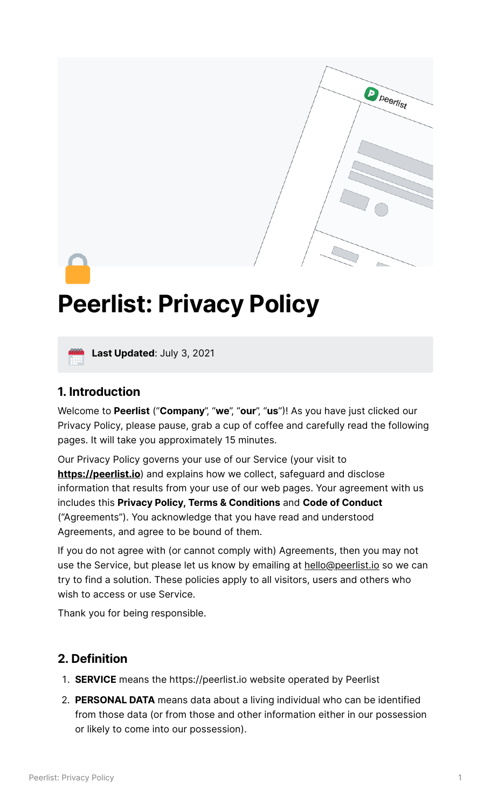

# **Peerlist: Privacy Policy**



**Last Updated**: July 3, <sup>2021</sup>

#### **1. Introduction**

Welcome to **Peerlist** ("**Company**", "**we**", "**our**", "**us**"! As you have just clicked our Privacy Policy, please pause, grab a cup of coffee and carefully read the following pages. It will take you approximately 15 minutes.

Our Privacy Policy governs your use of our Service (your visit to **[https://peerlist.io](https://peerlist.io/)**) and explains how we collect, safeguard and disclose information that results from your use of our web pages. Your agreement with us includes this **Privacy Policy, Terms & Conditions** and **Code of Conduct** ("Agreements"). You acknowledge that you have read and understood Agreements, and agree to be bound of them.

If you do not agree with (or cannot comply with) Agreements, then you may not use the Service, but please let us know by emailing at [hello@peerlist.io](mailto:hello@peerlist.io) so we can try to find a solution. These policies apply to all visitors, users and others who wish to access or use Service.

Thank you for being responsible.

# **2. Definition**

- **SERVICE** means the https://peerlist.io website operated by Peerlist
- **PERSONAL DATA** means data about a living individual who can be identified from those data (or from those and other information either in our possession or likely to come into our possession).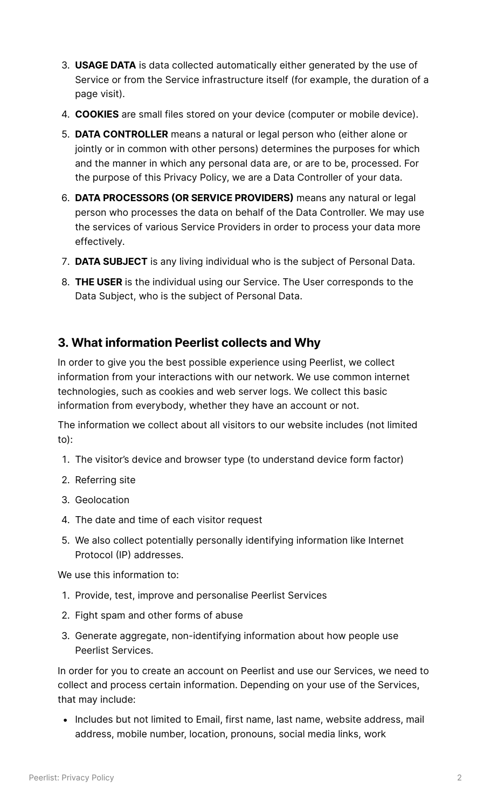- **USAGE DATA** is data collected automatically either generated by the use of Service or from the Service infrastructure itself (for example, the duration of a page visit).
- **COOKIES** are small files stored on your device (computer or mobile device).
- **DATA CONTROLLER** means a natural or legal person who (either alone or jointly or in common with other persons) determines the purposes for which and the manner in which any personal data are, or are to be, processed. For the purpose of this Privacy Policy, we are a Data Controller of your data.
- **DATA PROCESSORS OR SERVICE PROVIDERS** means any natural or legal person who processes the data on behalf of the Data Controller. We may use the services of various Service Providers in order to process your data more effectively.
- **DATA SUBJECT** is any living individual who is the subject of Personal Data.
- **THE USER** is the individual using our Service. The User corresponds to the Data Subject, who is the subject of Personal Data.

#### **3. What information Peerlist collects and Why**

In order to give you the best possible experience using Peerlist, we collect information from your interactions with our network. We use common internet technologies, such as cookies and web server logs. We collect this basic information from everybody, whether they have an account or not.

The information we collect about all visitors to our website includes (not limited to):

- 1. The visitor's device and browser type (to understand device form factor)
- 2. Referring site
- 3. Geolocation
- The date and time of each visitor request
- We also collect potentially personally identifying information like Internet Protocol (IP) addresses.

We use this information to:

- 1. Provide, test, improve and personalise Peerlist Services
- 2. Fight spam and other forms of abuse
- Generate aggregate, non-identifying information about how people use Peerlist Services.

In order for you to create an account on Peerlist and use our Services, we need to collect and process certain information. Depending on your use of the Services, that may include:

• Includes but not limited to Email, first name, last name, website address, mail address, mobile number, location, pronouns, social media links, work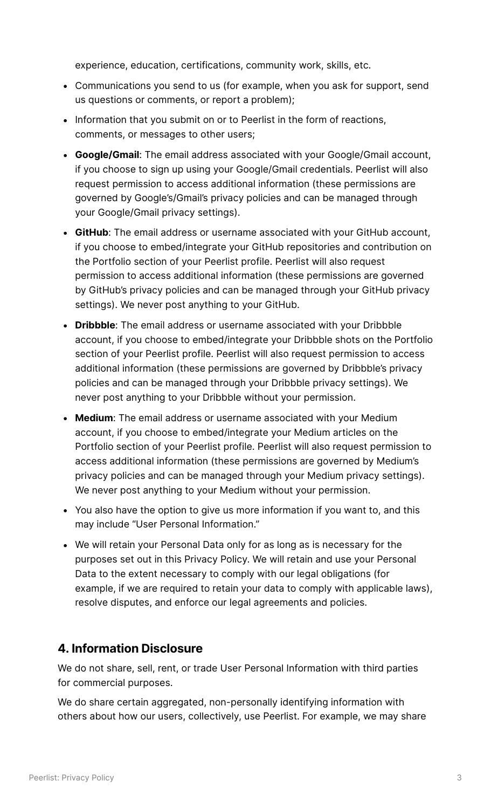experience, education, certifications, community work, skills, etc.

- Communications you send to us (for example, when you ask for support, send us questions or comments, or report a problem);
- Information that you submit on or to Peerlist in the form of reactions, comments, or messages to other users;
- **Google/Gmail**: The email address associated with your Google/Gmail account, if you choose to sign up using your Google/Gmail credentials. Peerlist will also request permission to access additional information (these permissions are governed by Google's/Gmail's privacy policies and can be managed through your Google/Gmail privacy settings).
- **GitHub**: The email address or username associated with your GitHub account, if you choose to embed/integrate your GitHub repositories and contribution on the Portfolio section of your Peerlist profile. Peerlist will also request permission to access additional information (these permissions are governed by GitHub's privacy policies and can be managed through your GitHub privacy settings). We never post anything to your GitHub.
- **Dribbble**: The email address or username associated with your Dribbble account, if you choose to embed/integrate your Dribbble shots on the Portfolio section of your Peerlist profile. Peerlist will also request permission to access additional information (these permissions are governed by Dribbble's privacy policies and can be managed through your Dribbble privacy settings). We never post anything to your Dribbble without your permission.
- **Medium**: The email address or username associated with your Medium account, if you choose to embed/integrate your Medium articles on the Portfolio section of your Peerlist profile. Peerlist will also request permission to access additional information (these permissions are governed by Medium's privacy policies and can be managed through your Medium privacy settings). We never post anything to your Medium without your permission.
- You also have the option to give us more information if you want to, and this may include "User Personal Information."
- We will retain your Personal Data only for as long as is necessary for the purposes set out in this Privacy Policy. We will retain and use your Personal Data to the extent necessary to comply with our legal obligations (for example, if we are required to retain your data to comply with applicable laws), resolve disputes, and enforce our legal agreements and policies.

#### **4. Information Disclosure**

We do not share, sell, rent, or trade User Personal Information with third parties for commercial purposes.

We do share certain aggregated, non-personally identifying information with others about how our users, collectively, use Peerlist. For example, we may share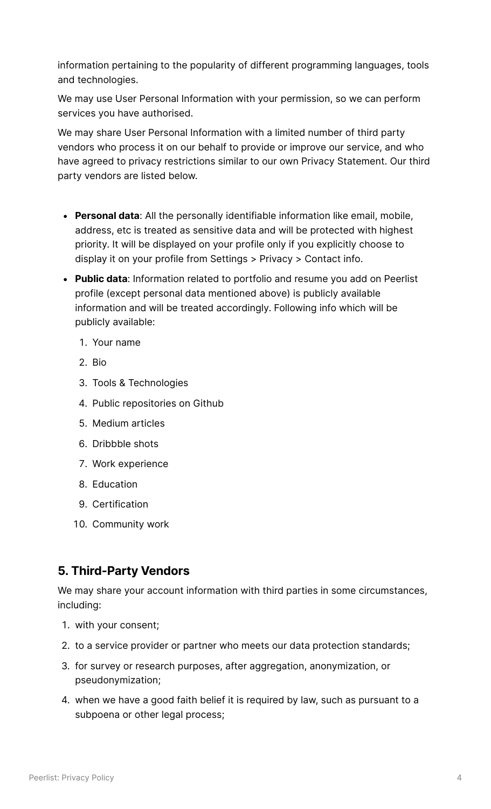information pertaining to the popularity of different programming languages, tools and technologies.

We may use User Personal Information with your permission, so we can perform services you have authorised.

We may share User Personal Information with a limited number of third party vendors who process it on our behalf to provide or improve our service, and who have agreed to privacy restrictions similar to our own Privacy Statement. Our third party vendors are listed below.

- **Personal data**: All the personally identifiable information like email, mobile, address, etc is treated as sensitive data and will be protected with highest priority. It will be displayed on your profile only if you explicitly choose to display it on your profile from Settings > Privacy > Contact info.
- **Public data**: Information related to portfolio and resume you add on Peerlist profile (except personal data mentioned above) is publicly available information and will be treated accordingly. Following info which will be publicly available:
	- Your name
	- 2. Bio
	- 3. Tools & Technologies
	- 4. Public repositories on Github
	- 5. Medium articles
	- 6. Dribbble shots
	- Work experience
	- 8. Education
	- 9. Certification
	- 10. Community work

# **5. Third-Party Vendors**

We may share your account information with third parties in some circumstances, including:

- 1. with your consent;
- 2. to a service provider or partner who meets our data protection standards;
- 3. for survey or research purposes, after aggregation, anonymization, or pseudonymization;
- when we have a good faith belief it is required by law, such as pursuant to a subpoena or other legal process;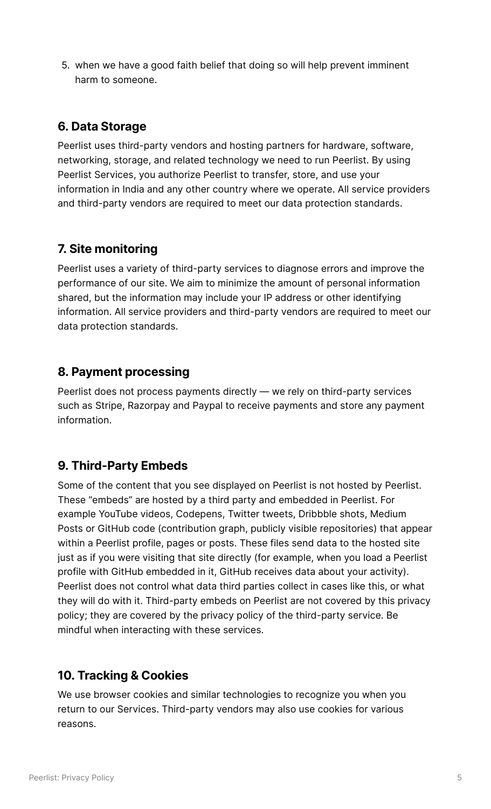when we have a good faith belief that doing so will help prevent imminent harm to someone.

#### **6. Data Storage**

Peerlist uses third-party vendors and hosting partners for hardware, software, networking, storage, and related technology we need to run Peerlist. By using Peerlist Services, you authorize Peerlist to transfer, store, and use your information in India and any other country where we operate. All service providers and third-party vendors are required to meet our data protection standards.

#### **7. Site monitoring**

Peerlist uses a variety of third-party services to diagnose errors and improve the performance of our site. We aim to minimize the amount of personal information shared, but the information may include your IP address or other identifying information. All service providers and third-party vendors are required to meet our data protection standards.

#### **8. Payment processing**

Peerlist does not process payments directly — we rely on third-party services such as Stripe, Razorpay and Paypal to receive payments and store any payment information.

# **9. Third-Party Embeds**

Some of the content that you see displayed on Peerlist is not hosted by Peerlist. These "embeds" are hosted by a third party and embedded in Peerlist. For example YouTube videos, Codepens, Twitter tweets, Dribbble shots, Medium Posts or GitHub code (contribution graph, publicly visible repositories) that appear within a Peerlist profile, pages or posts. These files send data to the hosted site just as if you were visiting that site directly (for example, when you load a Peerlist profile with GitHub embedded in it, GitHub receives data about your activity). Peerlist does not control what data third parties collect in cases like this, or what they will do with it. Third-party embeds on Peerlist are not covered by this privacy policy; they are covered by the privacy policy of the third-party service. Be mindful when interacting with these services.

#### **10. Tracking & Cookies**

We use browser cookies and similar technologies to recognize you when you return to our Services. Third-party vendors may also use cookies for various reasons.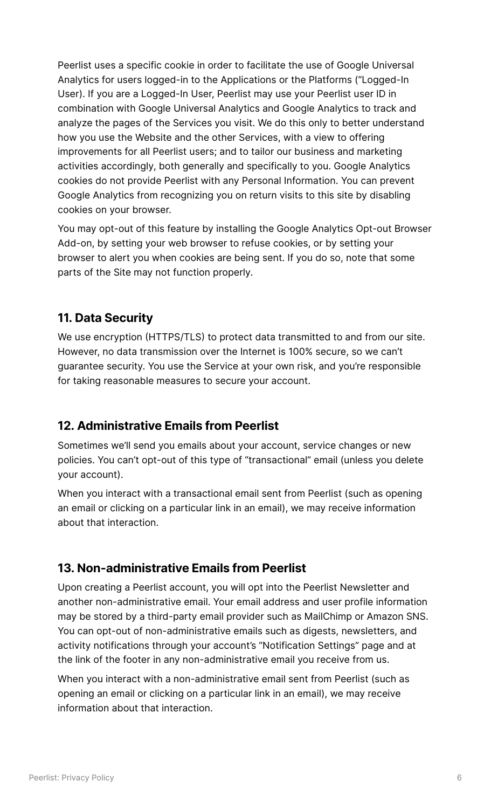Peerlist uses a specific cookie in order to facilitate the use of Google Universal Analytics for users logged-in to the Applications or the Platforms ("Logged-In User). If you are a Logged-In User, Peerlist may use your Peerlist user ID in combination with Google Universal Analytics and Google Analytics to track and analyze the pages of the Services you visit. We do this only to better understand how you use the Website and the other Services, with a view to offering improvements for all Peerlist users; and to tailor our business and marketing activities accordingly, both generally and specifically to you. Google Analytics cookies do not provide Peerlist with any Personal Information. You can prevent Google Analytics from recognizing you on return visits to this site by disabling cookies on your browser.

You may opt-out of this feature by installing the Google Analytics Opt-out Browser Add-on, by setting your web browser to refuse cookies, or by setting your browser to alert you when cookies are being sent. If you do so, note that some parts of the Site may not function properly.

# **11. Data Security**

We use encryption (HTTPS/TLS) to protect data transmitted to and from our site. However, no data transmission over the Internet is 100% secure, so we can't guarantee security. You use the Service at your own risk, and you're responsible for taking reasonable measures to secure your account.

# **12. Administrative Emails from Peerlist**

Sometimes we'll send you emails about your account, service changes or new policies. You can't opt-out of this type of "transactional" email (unless you delete your account).

When you interact with a transactional email sent from Peerlist (such as opening an email or clicking on a particular link in an email), we may receive information about that interaction.

#### **13. Non-administrative Emails from Peerlist**

Upon creating a Peerlist account, you will opt into the Peerlist Newsletter and another non-administrative email. Your email address and user profile information may be stored by a third-party email provider such as MailChimp or Amazon SNS. You can opt-out of non-administrative emails such as digests, newsletters, and activity notifications through your account's "Notification Settings" page and at the link of the footer in any non-administrative email you receive from us.

When you interact with a non-administrative email sent from Peerlist (such as opening an email or clicking on a particular link in an email), we may receive information about that interaction.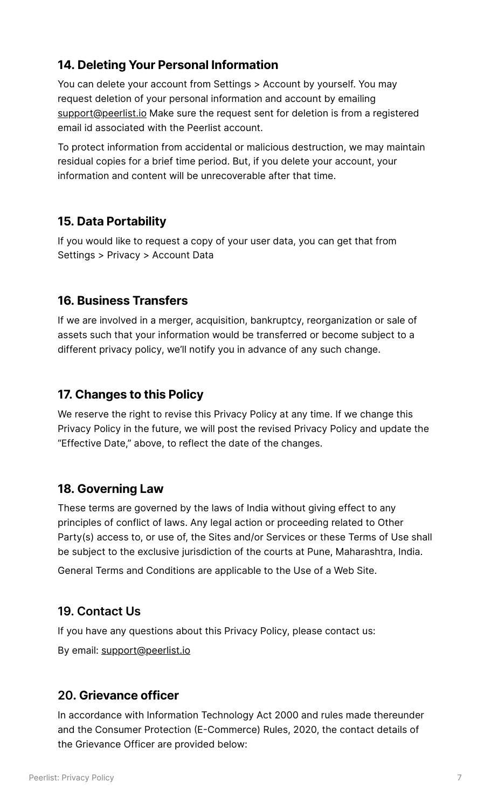# **14. Deleting Your Personal Information**

You can delete your account from Settings > Account by yourself. You may request deletion of your personal information and account by emailing [support@peerlist.io](mailto:support@peerlist.io) Make sure the request sent for deletion is from a registered email id associated with the Peerlist account.

To protect information from accidental or malicious destruction, we may maintain residual copies for a brief time period. But, if you delete your account, your information and content will be unrecoverable after that time.

# **15. Data Portability**

If you would like to request a copy of your user data, you can get that from Settings > Privacy > Account Data

# **16. Business Transfers**

If we are involved in a merger, acquisition, bankruptcy, reorganization or sale of assets such that your information would be transferred or become subject to a different privacy policy, we'll notify you in advance of any such change.

### **17. Changes to this Policy**

We reserve the right to revise this Privacy Policy at any time. If we change this Privacy Policy in the future, we will post the revised Privacy Policy and update the "Effective Date," above, to reflect the date of the changes.

#### **18. Governing Law**

These terms are governed by the laws of India without giving effect to any principles of conflict of laws. Any legal action or proceeding related to Other Party(s) access to, or use of, the Sites and/or Services or these Terms of Use shall be subject to the exclusive jurisdiction of the courts at Pune, Maharashtra, India.

General Terms and Conditions are applicable to the Use of a Web Site.

# **19. Contact Us**

If you have any questions about this Privacy Policy, please contact us:

By email: [support@peerlist.io](mailto:support@peerlist.io)

#### **20. Grievance officer**

In accordance with Information Technology Act 2000 and rules made thereunder and the Consumer Protection (E-Commerce) Rules, 2020, the contact details of the Grievance Officer are provided below: